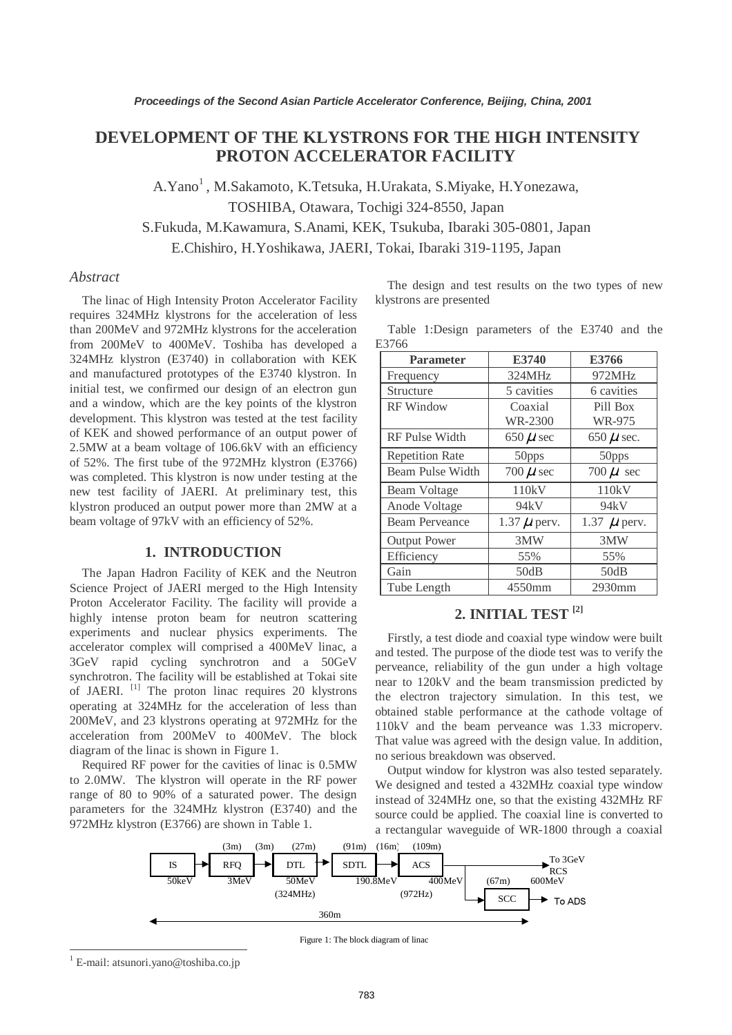# **DEVELOPMENT OF THE KLYSTRONS FOR THE HIGH INTENSITY PROTON ACCELERATOR FACILITY**

A.Yano<sup>1</sup>, M.Sakamoto, K.Tetsuka, H.Urakata, S.Miyake, H.Yonezawa, TOSHIBA, Otawara, Tochigi 324-8550, Japan S.Fukuda, M.Kawamura, S.Anami, KEK, Tsukuba, Ibaraki 305-0801, Japan E.Chishiro, H.Yoshikawa, JAERI, Tokai, Ibaraki 319-1195, Japan

### *Abstract*

The linac of High Intensity Proton Accelerator Facility requires 324MHz klystrons for the acceleration of less than 200MeV and 972MHz klystrons for the acceleration from 200MeV to 400MeV. Toshiba has developed a 324MHz klystron (E3740) in collaboration with KEK and manufactured prototypes of the E3740 klystron. In initial test, we confirmed our design of an electron gun and a window, which are the key points of the klystron development. This klystron was tested at the test facility of KEK and showed performance of an output power of 2.5MW at a beam voltage of 106.6kV with an efficiency of 52%. The first tube of the 972MHz klystron (E3766) was completed. This klystron is now under testing at the new test facility of JAERI. At preliminary test, this klystron produced an output power more than 2MW at a beam voltage of 97kV with an efficiency of 52%.

#### **1. INTRODUCTION**

The Japan Hadron Facility of KEK and the Neutron Science Project of JAERI merged to the High Intensity Proton Accelerator Facility. The facility will provide a highly intense proton beam for neutron scattering experiments and nuclear physics experiments. The accelerator complex will comprised a 400MeV linac, a 3GeV rapid cycling synchrotron and a 50GeV synchrotron. The facility will be established at Tokai site of JAERI. <sup>[1]</sup> The proton linac requires 20 klystrons operating at 324MHz for the acceleration of less than 200MeV, and 23 klystrons operating at 972MHz for the acceleration from 200MeV to 400MeV. The block diagram of the linac is shown in Figure 1.

Required RF power for the cavities of linac is 0.5MW to 2.0MW. The klystron will operate in the RF power range of 80 to 90% of a saturated power. The design parameters for the 324MHz klystron (E3740) and the 972MHz klystron (E3766) are shown in Table 1.

The design and test results on the two types of new klystrons are presented

|       | Table 1:Design parameters of the E3740 and the |  |  |  |
|-------|------------------------------------------------|--|--|--|
| E3766 |                                                |  |  |  |

| <b>Parameter</b>       | E3740            | E3766            |  |  |
|------------------------|------------------|------------------|--|--|
| Frequency              | 324MHz           | 972MHz           |  |  |
| Structure              | 5 cavities       | 6 cavities       |  |  |
| <b>RF</b> Window       | Coaxial          | Pill Box         |  |  |
|                        | WR-2300          | WR-975           |  |  |
| RF Pulse Width         | 650 $\mu$ sec    | 650 $\mu$ sec.   |  |  |
| <b>Repetition Rate</b> | 50pps            | 50pps            |  |  |
| Beam Pulse Width       | 700 $\mu$ sec    | 700 $\mu$ sec    |  |  |
| Beam Voltage           | 110kV            | 110kV            |  |  |
| Anode Voltage          | 94kV             | 94kV             |  |  |
| <b>Beam Perveance</b>  | $1.37 \mu$ perv. | 1.37 $\mu$ perv. |  |  |
| <b>Output Power</b>    | 3MW              | 3MW              |  |  |
| Efficiency             | 55%              | 55%              |  |  |
| Gain                   | 50dB             | 50dB             |  |  |
| Tube Length            | 4550mm           | 2930mm           |  |  |

### **2. INITIAL TEST [2]**

Firstly, a test diode and coaxial type window were built and tested. The purpose of the diode test was to verify the perveance, reliability of the gun under a high voltage near to 120kV and the beam transmission predicted by the electron trajectory simulation. In this test, we obtained stable performance at the cathode voltage of 110kV and the beam perveance was 1.33 microperv. That value was agreed with the design value. In addition, no serious breakdown was observed.

Output window for klystron was also tested separately. We designed and tested a 432MHz coaxial type window instead of 324MHz one, so that the existing 432MHz RF source could be applied. The coaxial line is converted to a rectangular waveguide of WR-1800 through a coaxial



Figure 1: The block diagram of linac

 $\overline{\phantom{a}}$ 

<sup>&</sup>lt;sup>1</sup> E-mail: atsunori.yano@toshiba.co.jp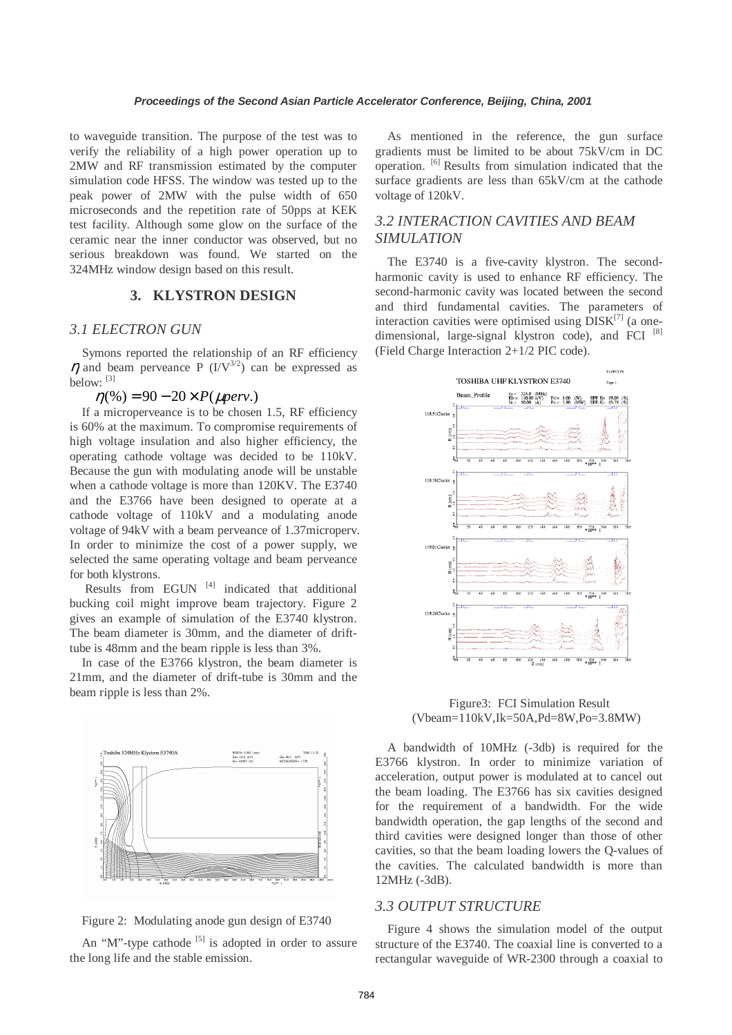to waveguide transition. The purpose of the test was to verify the reliability of a high power operation up to 2MW and RF transmission estimated by the computer simulation code HFSS. The window was tested up to the peak power of 2MW with the pulse width of 650 microseconds and the repetition rate of 50pps at KEK test facility. Although some glow on the surface of the ceramic near the inner conductor was observed, but no serious breakdown was found. We started on the 324MHz window design based on this result.

### **3. KLYSTRON DESIGN**

#### *3.1 ELECTRON GUN*

Symons reported the relationship of an RF efficiency  $\eta$  and beam perveance P (I/V<sup>3/2</sup>) can be expressed as below:  $[3]$ 

#### $\eta$ (%) = 90 – 20 × *P*( $\mu$ *perv*.)

If a microperveance is to be chosen 1.5, RF efficiency is 60% at the maximum. To compromise requirements of high voltage insulation and also higher efficiency, the operating cathode voltage was decided to be 110kV. Because the gun with modulating anode will be unstable when a cathode voltage is more than 120KV. The E3740 and the E3766 have been designed to operate at a cathode voltage of 110kV and a modulating anode voltage of 94kV with a beam perveance of 1.37microperv. In order to minimize the cost of a power supply, we selected the same operating voltage and beam perveance for both klystrons.

Results from EGUN  $[4]$  indicated that additional bucking coil might improve beam trajectory. Figure 2 gives an example of simulation of the E3740 klystron. The beam diameter is 30mm, and the diameter of drifttube is 48mm and the beam ripple is less than 3%.

In case of the E3766 klystron, the beam diameter is 21mm, and the diameter of drift-tube is 30mm and the beam ripple is less than 2%.





An "M"-type cathode  $[5]$  is adopted in order to assure the long life and the stable emission.

As mentioned in the reference, the gun surface gradients must be limited to be about 75kV/cm in DC operation. [6] Results from simulation indicated that the surface gradients are less than 65kV/cm at the cathode voltage of 120kV.

# *3.2 INTERACTION CAVITIES AND BEAM SIMULATION*

The E3740 is a five-cavity klystron. The secondharmonic cavity is used to enhance RF efficiency. The second-harmonic cavity was located between the second and third fundamental cavities. The parameters of interaction cavities were optimised using  $DISK^{[7]}$  (a onedimensional, large-signal klystron code), and FCI  $[8]$ (Field Charge Interaction 2+1/2 PIC code).



Figure3: FCI Simulation Result (Vbeam=110kV,Ik=50A,Pd=8W,Po=3.8MW)

A bandwidth of 10MHz (-3db) is required for the E3766 klystron. In order to minimize variation of acceleration, output power is modulated at to cancel out the beam loading. The E3766 has six cavities designed for the requirement of a bandwidth. For the wide bandwidth operation, the gap lengths of the second and third cavities were designed longer than those of other cavities, so that the beam loading lowers the Q-values of the cavities. The calculated bandwidth is more than 12MHz (-3dB).

# *3.3 OUTPUT STRUCTURE*

Figure 4 shows the simulation model of the output structure of the E3740. The coaxial line is converted to a rectangular waveguide of WR-2300 through a coaxial to